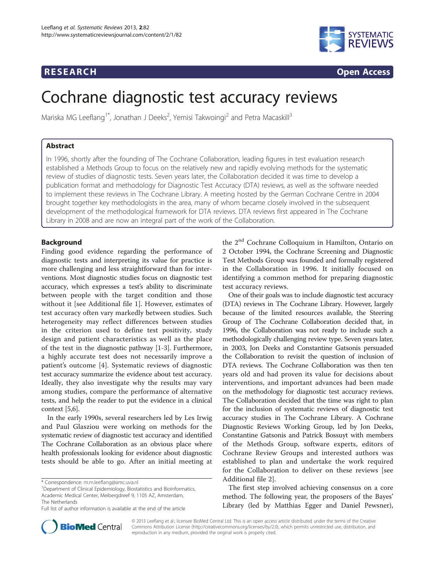# **RESEARCH CHILD CONTROL** CONTROL CONTROL CONTROL CONTROL CONTROL CONTROL CONTROL CONTROL CONTROL CONTROL CONTROL CONTROL CONTROL CONTROL CONTROL CONTROL CONTROL CONTROL CONTROL CONTROL CONTROL CONTROL CONTROL CONTROL CONTR



# Cochrane diagnostic test accuracy reviews

Mariska MG Leeflang<sup>1\*</sup>, Jonathan J Deeks<sup>2</sup>, Yemisi Takwoingi<sup>2</sup> and Petra Macaskill<sup>3</sup>

# Abstract

In 1996, shortly after the founding of The Cochrane Collaboration, leading figures in test evaluation research established a Methods Group to focus on the relatively new and rapidly evolving methods for the systematic review of studies of diagnostic tests. Seven years later, the Collaboration decided it was time to develop a publication format and methodology for Diagnostic Test Accuracy (DTA) reviews, as well as the software needed to implement these reviews in The Cochrane Library. A meeting hosted by the German Cochrane Centre in 2004 brought together key methodologists in the area, many of whom became closely involved in the subsequent development of the methodological framework for DTA reviews. DTA reviews first appeared in The Cochrane Library in 2008 and are now an integral part of the work of the Collaboration.

# **Background**

Finding good evidence regarding the performance of diagnostic tests and interpreting its value for practice is more challenging and less straightforward than for interventions. Most diagnostic studies focus on diagnostic test accuracy, which expresses a test's ability to discriminate between people with the target condition and those without it [see Additional file [1](#page-4-0)]. However, estimates of test accuracy often vary markedly between studies. Such heterogeneity may reflect differences between studies in the criterion used to define test positivity, study design and patient characteristics as well as the place of the test in the diagnostic pathway [\[1-3](#page-4-0)]. Furthermore, a highly accurate test does not necessarily improve a patient's outcome [[4\]](#page-4-0). Systematic reviews of diagnostic test accuracy summarize the evidence about test accuracy. Ideally, they also investigate why the results may vary among studies, compare the performance of alternative tests, and help the reader to put the evidence in a clinical context [\[5,6\]](#page-4-0).

In the early 1990s, several researchers led by Les Irwig and Paul Glasziou were working on methods for the systematic review of diagnostic test accuracy and identified The Cochrane Collaboration as an obvious place where health professionals looking for evidence about diagnostic tests should be able to go. After an initial meeting at the 2nd Cochrane Colloquium in Hamilton, Ontario on 2 October 1994, the Cochrane Screening and Diagnostic Test Methods Group was founded and formally registered in the Collaboration in 1996. It initially focused on identifying a common method for preparing diagnostic test accuracy reviews.

One of their goals was to include diagnostic test accuracy (DTA) reviews in The Cochrane Library. However, largely because of the limited resources available, the Steering Group of The Cochrane Collaboration decided that, in 1996, the Collaboration was not ready to include such a methodologically challenging review type. Seven years later, in 2003, Jon Deeks and Constantine Gatsonis persuaded the Collaboration to revisit the question of inclusion of DTA reviews. The Cochrane Collaboration was then ten years old and had proven its value for decisions about interventions, and important advances had been made on the methodology for diagnostic test accuracy reviews. The Collaboration decided that the time was right to plan for the inclusion of systematic reviews of diagnostic test accuracy studies in The Cochrane Library. A Cochrane Diagnostic Reviews Working Group, led by Jon Deeks, Constantine Gatsonis and Patrick Bossuyt with members of the Methods Group, software experts, editors of Cochrane Review Groups and interested authors was established to plan and undertake the work required for the Collaboration to deliver on these reviews [see Additional file [2\]](#page-4-0).

The first step involved achieving consensus on a core method. The following year, the proposers of the Bayes' Library (led by Matthias Egger and Daniel Pewsner),



© 2013 Leeflang et al.; licensee BioMed Central Ltd. This is an open access article distributed under the terms of the Creative Commons Attribution License [\(http://creativecommons.org/licenses/by/2.0\)](http://creativecommons.org/licenses/by/2.0), which permits unrestricted use, distribution, and reproduction in any medium, provided the original work is properly cited.

<sup>\*</sup> Correspondence: [m.m.leeflang@amc.uva.nl](mailto:m.m.leeflang@amc.uva.nl) <sup>1</sup>

<sup>&</sup>lt;sup>1</sup>Department of Clinical Epidemiology, Biostatistics and Bioinformatics, Academic Medical Center, Meibergdreef 9, 1105 AZ, Amsterdam, The Netherlands

Full list of author information is available at the end of the article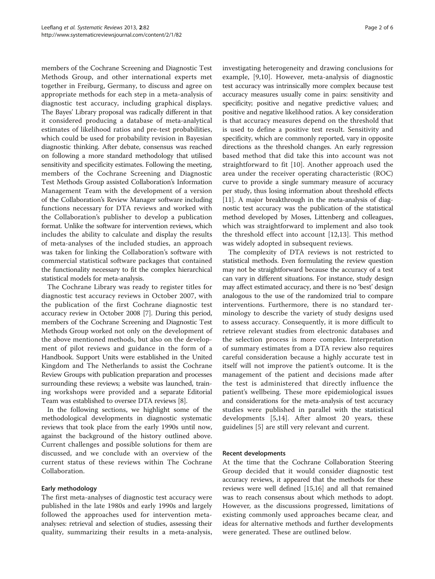members of the Cochrane Screening and Diagnostic Test Methods Group, and other international experts met together in Freiburg, Germany, to discuss and agree on appropriate methods for each step in a meta-analysis of diagnostic test accuracy, including graphical displays. The Bayes' Library proposal was radically different in that it considered producing a database of meta-analytical estimates of likelihood ratios and pre-test probabilities, which could be used for probability revision in Bayesian diagnostic thinking. After debate, consensus was reached on following a more standard methodology that utilised sensitivity and specificity estimates. Following the meeting, members of the Cochrane Screening and Diagnostic Test Methods Group assisted Collaboration's Information Management Team with the development of a version of the Collaboration's Review Manager software including functions necessary for DTA reviews and worked with the Collaboration's publisher to develop a publication format. Unlike the software for intervention reviews, which includes the ability to calculate and display the results of meta-analyses of the included studies, an approach was taken for linking the Collaboration's software with commercial statistical software packages that contained the functionality necessary to fit the complex hierarchical statistical models for meta-analysis.

The Cochrane Library was ready to register titles for diagnostic test accuracy reviews in October 2007, with the publication of the first Cochrane diagnostic test accuracy review in October 2008 [\[7\]](#page-4-0). During this period, members of the Cochrane Screening and Diagnostic Test Methods Group worked not only on the development of the above mentioned methods, but also on the development of pilot reviews and guidance in the form of a Handbook. Support Units were established in the United Kingdom and The Netherlands to assist the Cochrane Review Groups with publication preparation and processes surrounding these reviews; a website was launched, training workshops were provided and a separate Editorial Team was established to oversee DTA reviews [[8\]](#page-5-0).

In the following sections, we highlight some of the methodological developments in diagnostic systematic reviews that took place from the early 1990s until now, against the background of the history outlined above. Current challenges and possible solutions for them are discussed, and we conclude with an overview of the current status of these reviews within The Cochrane Collaboration.

# Early methodology

The first meta-analyses of diagnostic test accuracy were published in the late 1980s and early 1990s and largely followed the approaches used for intervention metaanalyses: retrieval and selection of studies, assessing their quality, summarizing their results in a meta-analysis, investigating heterogeneity and drawing conclusions for example, [[9,10](#page-5-0)]. However, meta-analysis of diagnostic test accuracy was intrinsically more complex because test accuracy measures usually come in pairs: sensitivity and specificity; positive and negative predictive values; and positive and negative likelihood ratios. A key consideration is that accuracy measures depend on the threshold that is used to define a positive test result. Sensitivity and specificity, which are commonly reported, vary in opposite directions as the threshold changes. An early regression based method that did take this into account was not straightforward to fit [\[10\]](#page-5-0). Another approach used the area under the receiver operating characteristic (ROC) curve to provide a single summary measure of accuracy per study, thus losing information about threshold effects [[11](#page-5-0)]. A major breakthrough in the meta-analysis of diagnostic test accuracy was the publication of the statistical method developed by Moses, Littenberg and colleagues, which was straightforward to implement and also took the threshold effect into account [[12,13\]](#page-5-0). This method was widely adopted in subsequent reviews.

The complexity of DTA reviews is not restricted to statistical methods. Even formulating the review question may not be straightforward because the accuracy of a test can vary in different situations. For instance, study design may affect estimated accuracy, and there is no 'best' design analogous to the use of the randomized trial to compare interventions. Furthermore, there is no standard terminology to describe the variety of study designs used to assess accuracy. Consequently, it is more difficult to retrieve relevant studies from electronic databases and the selection process is more complex. Interpretation of summary estimates from a DTA review also requires careful consideration because a highly accurate test in itself will not improve the patient's outcome. It is the management of the patient and decisions made after the test is administered that directly influence the patient's wellbeing. These more epidemiological issues and considerations for the meta-analysis of test accuracy studies were published in parallel with the statistical developments [\[5](#page-4-0),[14\]](#page-5-0). After almost 20 years, these guidelines [[5\]](#page-4-0) are still very relevant and current.

# Recent developments

At the time that the Cochrane Collaboration Steering Group decided that it would consider diagnostic test accuracy reviews, it appeared that the methods for these reviews were well defined [\[15,16\]](#page-5-0) and all that remained was to reach consensus about which methods to adopt. However, as the discussions progressed, limitations of existing commonly used approaches became clear, and ideas for alternative methods and further developments were generated. These are outlined below.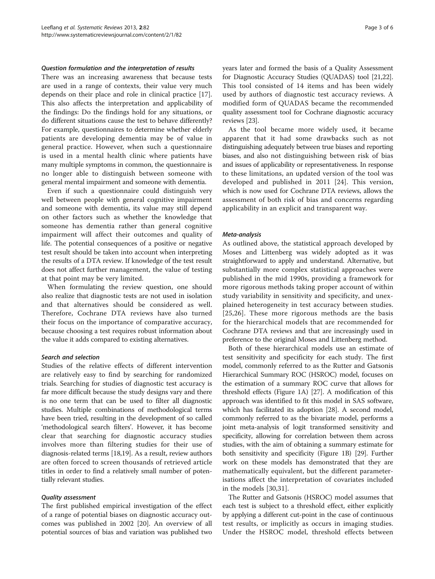#### Question formulation and the interpretation of results

There was an increasing awareness that because tests are used in a range of contexts, their value very much depends on their place and role in clinical practice [\[17](#page-5-0)]. This also affects the interpretation and applicability of the findings: Do the findings hold for any situations, or do different situations cause the test to behave differently? For example, questionnaires to determine whether elderly patients are developing dementia may be of value in general practice. However, when such a questionnaire is used in a mental health clinic where patients have many multiple symptoms in common, the questionnaire is no longer able to distinguish between someone with general mental impairment and someone with dementia.

Even if such a questionnaire could distinguish very well between people with general cognitive impairment and someone with dementia, its value may still depend on other factors such as whether the knowledge that someone has dementia rather than general cognitive impairment will affect their outcomes and quality of life. The potential consequences of a positive or negative test result should be taken into account when interpreting the results of a DTA review. If knowledge of the test result does not affect further management, the value of testing at that point may be very limited.

When formulating the review question, one should also realize that diagnostic tests are not used in isolation and that alternatives should be considered as well. Therefore, Cochrane DTA reviews have also turned their focus on the importance of comparative accuracy, because choosing a test requires robust information about the value it adds compared to existing alternatives.

## Search and selection

Studies of the relative effects of different intervention are relatively easy to find by searching for randomized trials. Searching for studies of diagnostic test accuracy is far more difficult because the study designs vary and there is no one term that can be used to filter all diagnostic studies. Multiple combinations of methodological terms have been tried, resulting in the development of so called 'methodological search filters'. However, it has become clear that searching for diagnostic accuracy studies involves more than filtering studies for their use of diagnosis-related terms [\[18,19](#page-5-0)]. As a result, review authors are often forced to screen thousands of retrieved article titles in order to find a relatively small number of potentially relevant studies.

### Quality assessment

The first published empirical investigation of the effect of a range of potential biases on diagnostic accuracy outcomes was published in 2002 [[20\]](#page-5-0). An overview of all potential sources of bias and variation was published two years later and formed the basis of a Quality Assessment for Diagnostic Accuracy Studies (QUADAS) tool [\[21,22](#page-5-0)]. This tool consisted of 14 items and has been widely used by authors of diagnostic test accuracy reviews. A modified form of QUADAS became the recommended quality assessment tool for Cochrane diagnostic accuracy reviews [\[23\]](#page-5-0).

As the tool became more widely used, it became apparent that it had some drawbacks such as not distinguishing adequately between true biases and reporting biases, and also not distinguishing between risk of bias and issues of applicability or representativeness. In response to these limitations, an updated version of the tool was developed and published in 2011 [\[24](#page-5-0)]. This version, which is now used for Cochrane DTA reviews, allows the assessment of both risk of bias and concerns regarding applicability in an explicit and transparent way.

### Meta-analysis

As outlined above, the statistical approach developed by Moses and Littenberg was widely adopted as it was straightforward to apply and understand. Alternative, but substantially more complex statistical approaches were published in the mid 1990s, providing a framework for more rigorous methods taking proper account of within study variability in sensitivity and specificity, and unexplained heterogeneity in test accuracy between studies. [[25](#page-5-0),[26\]](#page-5-0). These more rigorous methods are the basis for the hierarchical models that are recommended for Cochrane DTA reviews and that are increasingly used in preference to the original Moses and Littenberg method.

Both of these hierarchical models use an estimate of test sensitivity and specificity for each study. The first model, commonly referred to as the Rutter and Gatsonis Hierarchical Summary ROC (HSROC) model, focuses on the estimation of a summary ROC curve that allows for threshold effects (Figure [1](#page-3-0)A) [\[27\]](#page-5-0). A modification of this approach was identified to fit this model in SAS software, which has facilitated its adoption [\[28\]](#page-5-0). A second model, commonly referred to as the bivariate model, performs a joint meta-analysis of logit transformed sensitivity and specificity, allowing for correlation between them across studies, with the aim of obtaining a summary estimate for both sensitivity and specificity (Figure [1B](#page-3-0)) [\[29\]](#page-5-0). Further work on these models has demonstrated that they are mathematically equivalent, but the different parameterisations affect the interpretation of covariates included in the models [[30,31](#page-5-0)].

The Rutter and Gatsonis (HSROC) model assumes that each test is subject to a threshold effect, either explicitly by applying a different cut-point in the case of continuous test results, or implicitly as occurs in imaging studies. Under the HSROC model, threshold effects between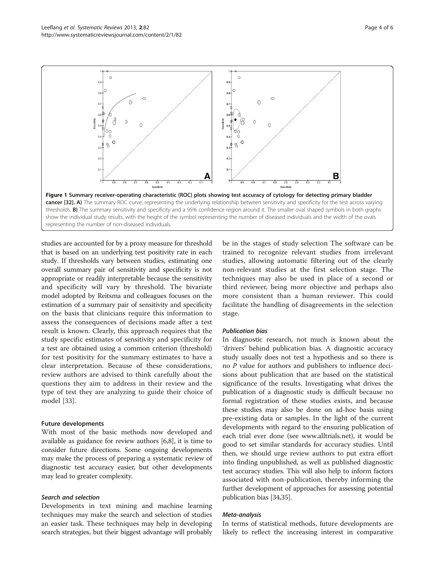<span id="page-3-0"></span>

studies are accounted for by a proxy measure for threshold that is based on an underlying test positivity rate in each study. If thresholds vary between studies, estimating one overall summary pair of sensitivity and specificity is not appropriate or readily interpretable because the sensitivity and specificity will vary by threshold. The bivariate model adopted by Reitsma and colleagues focuses on the estimation of a summary pair of sensitivity and specificity on the basis that clinicians require this information to assess the consequences of decisions made after a test result is known. Clearly, this approach requires that the study specific estimates of sensitivity and specificity for a test are obtained using a common criterion (threshold) for test positivity for the summary estimates to have a clear interpretation. Because of these considerations, review authors are advised to think carefully about the questions they aim to address in their review and the type of test they are analyzing to guide their choice of model [[33\]](#page-5-0).

# Future developments

With most of the basic methods now developed and available as guidance for review authors [\[6](#page-4-0)[,8](#page-5-0)], it is time to consider future directions. Some ongoing developments may make the process of preparing a systematic review of diagnostic test accuracy easier, but other developments may lead to greater complexity.

# Search and selection

Developments in text mining and machine learning techniques may make the search and selection of studies an easier task. These techniques may help in developing search strategies, but their biggest advantage will probably

be in the stages of study selection The software can be trained to recognize relevant studies from irrelevant studies, allowing automatic filtering out of the clearly non-relevant studies at the first selection stage. The techniques may also be used in place of a second or third reviewer, being more objective and perhaps also more consistent than a human reviewer. This could facilitate the handling of disagreements in the selection stage.

# Publication bias

In diagnostic research, not much is known about the 'drivers' behind publication bias. A diagnostic accuracy study usually does not test a hypothesis and so there is no P value for authors and publishers to influence decisions about publication that are based on the statistical significance of the results. Investigating what drives the publication of a diagnostic study is difficult because no formal registration of these studies exists, and because these studies may also be done on ad-hoc basis using pre-existing data or samples. In the light of the current developments with regard to the ensuring publication of each trial ever done (see [www.alltrials.net\)](http://www.alltrials.net), it would be good to set similar standards for accuracy studies. Until then, we should urge review authors to put extra effort into finding unpublished, as well as published diagnostic test accuracy studies. This will also help to inform factors associated with non-publication, thereby informing the further development of approaches for assessing potential publication bias [\[34,35\]](#page-5-0).

### Meta-analysis

In terms of statistical methods, future developments are likely to reflect the increasing interest in comparative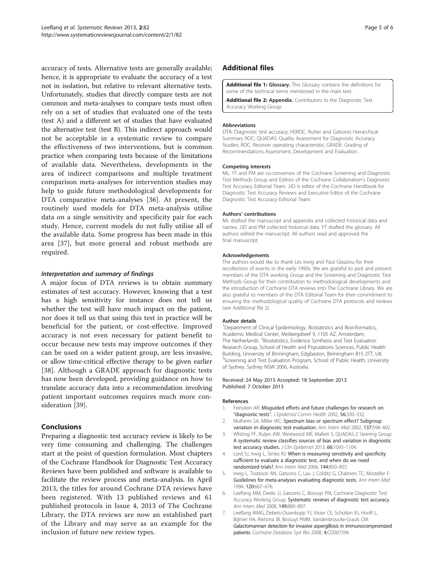<span id="page-4-0"></span>accuracy of tests. Alternative tests are generally available; hence, it is appropriate to evaluate the accuracy of a test not in isolation, but relative to relevant alternative tests. Unfortunately, studies that directly compare tests are not common and meta-analyses to compare tests must often rely on a set of studies that evaluated one of the tests (test A) and a different set of studies that have evaluated the alternative test (test B). This indirect approach would not be acceptable in a systematic review to compare the effectiveness of two interventions, but is common practice when comparing tests because of the limitations of available data. Nevertheless, developments in the area of indirect comparisons and multiple treatment comparison meta-analyses for intervention studies may help to guide future methodological developments for DTA comparative meta-analyses [[36\]](#page-5-0). At present, the routinely used models for DTA meta-analysis utilise data on a single sensitivity and specificity pair for each study. Hence, current models do not fully utilise all of the available data. Some progress has been made in this area [\[37](#page-5-0)], but more general and robust methods are required.

# Interpretation and summary of findings

A major focus of DTA reviews is to obtain summary estimates of test accuracy. However, knowing that a test has a high sensitivity for instance does not tell us whether the test will have much impact on the patient, nor does it tell us that using this test in practice will be beneficial for the patient, or cost-effective. Improved accuracy is not even necessary for patient benefit to occur because new tests may improve outcomes if they can be used on a wider patient group, are less invasive, or allow time-critical effective therapy to be given earlier [[38](#page-5-0)]. Although a GRADE approach for diagnostic tests has now been developed, providing guidance on how to translate accuracy data into a recommendation involving patient important outcomes requires much more consideration [\[39](#page-5-0)].

# Conclusions

Preparing a diagnostic test accuracy review is likely to be very time consuming and challenging. The challenges start at the point of question formulation. Most chapters of the Cochrane Handbook for Diagnostic Test Accuracy Reviews have been published and software is available to facilitate the review process and meta-analysis. In April 2013, the titles for around Cochrane DTA reviews have been registered. With 13 published reviews and 61 published protocols in Issue 4, 2013 of The Cochrane Library, the DTA reviews are now an established part of the Library and may serve as an example for the inclusion of future new review types.

# Additional files

[Additional file 1:](http://www.biomedcentral.com/content/supplementary/2046-4053-2-82-S1.doc) Glossary. This Glossary contains the definitions for some of the technical terms mentioned in the main text.

[Additional file 2:](http://www.biomedcentral.com/content/supplementary/2046-4053-2-82-S2.docx) Appendix. Contributors to the Diagnostic Test Accuracy Working Group.

## **Abbreviations**

DTA: Diagnostic test accuracy; HSROC: Rutter and Gatsonis Hierarchical Summary ROC; QUADAS: Quality Assessment for Diagnostic Accuracy Studies; ROC: Receiver operating characteristic; GRADE: Grading of Recommendations Assessment, Development and Evaluation.

#### Competing interests

ML, YT and PM are co-convenors of the Cochrane Screening and Diagnostic Test Methods Group and Editors of the Cochrane Collaboration's Diagnostic Test Accuracy Editorial Team. JJD is editor of the Cochrane Handbook for Diagnostic Test Accuracy Reviews and Executive Editor of the Cochrane Diagnostic Test Accuracy Editorial Team.

#### Authors' contributions

ML drafted the manuscript and appendix and collected historical data and names. JJD and PM collected historical data. YT drafted the glossary. All authors edited the manuscript. All authors read and approved the final manuscript.

#### Acknowledgements

The authors would like to thank Les Irwig and Paul Glasziou for their recollection of events in the early 1990s. We are grateful to past and present members of the DTA working Group and the Screening and Diagnostic Test Methods Group for their contribution to methodological developments and the introduction of Cochrane DTA reviews into The Cochrane Library. We are also grateful to members of the DTA Editorial Team for their commitment to ensuring the methodological quality of Cochrane DTA protocols and reviews (see Additional file 2).

#### Author details

<sup>1</sup>Department of Clinical Epidemiology, Biostatistics and Bioinformatics, Academic Medical Center, Meibergdreef 9, 1105 AZ, Amsterdam, The Netherlands. <sup>2</sup> Biostatistics, Evidence Synthesis and Test Evaluation Research Group, School of Health and Populations Sciences, Public Health Building, University of Birmingham, Edgbaston, Birmingham B15 2TT, UK. <sup>3</sup>Screening and Test Evaluation Program, School of Public Health, University of Sydney, Sydney NSW 2006, Australia.

#### Received: 24 May 2013 Accepted: 18 September 2013 Published: 7 October 2013

#### References

- Feinstein AR: Misguided efforts and future challenges for research on "diagnostic tests". J Epidemiol Comm Health 2002, 56:330–332.
- 2. Mulherin SA, Miller WC: Spectrum bias or spectrum effect? Subgroup variation in diagnostic test evaluation. Ann Intern Med 2002, 137:598–602.
- 3. Whiting PF, Rutjes AW, Westwood ME, Mallett S, QUADAS-2 Steering Group: A systematic review classifies sources of bias and variation in diagnostic test accuracy studies. J Clin Epidemiol 2013, 66:1093-1104
- 4. Lord SJ, Irwig L, Simes RJ: When is measuring sensitivity and specificity sufficient to evaluate a diagnostic test, and when do we need randomized trials? Ann Intern Med 2006, 144:850–855.
- 5. Irwig L, Tosteson AN, Gatsonis C, Lau J, Colditz G, Chalmers TC, Mosteller F: Guidelines for meta-analyses evaluating diagnostic tests. Ann Intern Med 1994, 120:667–676.
- Leeflang MM, Deeks JJ, Gatsonis C, Bossuyt PM, Cochrane Diagnostic Test Accuracy Working Group: Systematic reviews of diagnostic test accuracy. Ann Intern Med 2008, 149:889–897.
- 7. Leeflang MMG, Debets-Ossenkopp YJ, Visser CE, Scholten RJ, Hooft L, Bijlmer HA, Reitsma JB, Bossuyt PMM, Vandenbroucke-Grauls CM: Galactomannan detection for invasive aspergillosis in immunocompromized patients. Cochrane Database Syst Rev 2008, 4:CD007394.